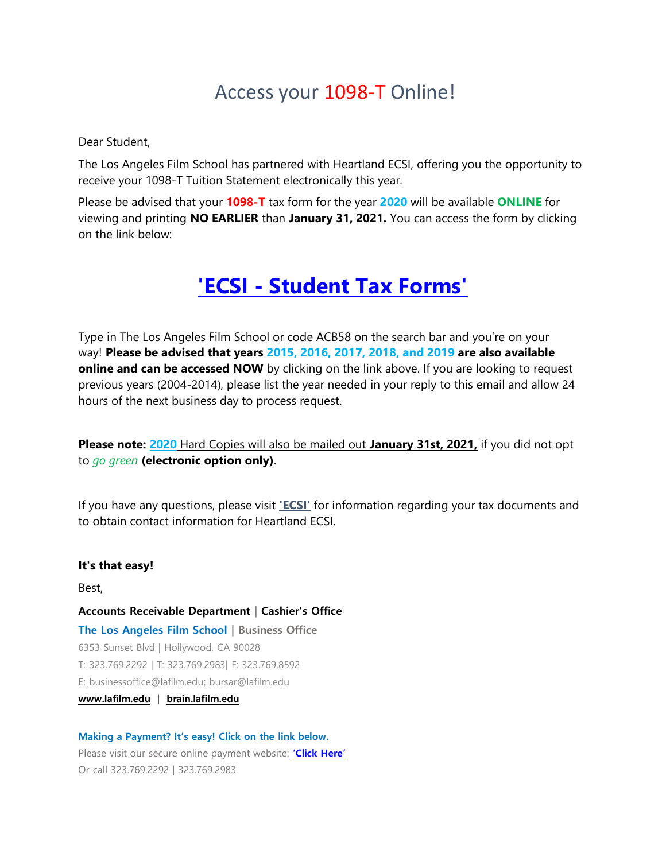## Access your 1098-T Online!

Dear Student,

The Los Angeles Film School has partnered with Heartland ECSI, offering you the opportunity to receive your 1098-T Tuition Statement electronically this year.

Please be advised that your **1098-T** tax form for the year **2020** will be available **ONLINE** for viewing and printing **NO EARLIER** than **January 31, 2021.** You can access the form by clicking on the link below:

## **'ECSI - [Student Tax Forms'](https://heartland.ecsi.net/index.main.html#/access/lookup)**

Type in The Los Angeles Film School or code ACB58 on the search bar and you're on your way! **Please be advised that years 2015, 2016, 2017, 2018, and 2019 are also available online and can be accessed NOW** by clicking on the link above. If you are looking to request previous years (2004-2014), please list the year needed in your reply to this email and allow 24 hours of the next business day to process request.

**Please note: 2020** Hard Copies will also be mailed out **January 31st, 2021,** if you did not opt to *go green* **(electronic option only)**.

If you have any questions, please visit **['ECSI'](http://www.ecsi.net/taxinfo.html)** for information regarding your tax documents and to obtain contact information for Heartland ECSI.

**It's that easy!**

Best,

**Accounts Receivable Department | Cashier's Office The Los Angeles Film School | Business Office** 6353 Sunset Blvd | Hollywood, CA 90028 T: 323.769.2292 | T: 323.769.2983| F: 323.769.8592 E: [businessoffice@lafilm.edu;](mailto:businessoffice@lafilm.edu) [bursar@lafilm.edu](mailto:bursar@lafilm.edu) **[www.lafilm.edu](http://www.lafilm.edu/)** | **[brain.lafilm.edu](http://brain.lafilm.edu/)**

**Making a Payment? It's easy! Click on the link below.**  Please visit our secure online payment website: **'[Click Here](https://www.officialpayments.com/pc_entry_cobrand.jsp?productId=39429296657014578794031164237189189)'** Or call 323.769.2292 | 323.769.2983